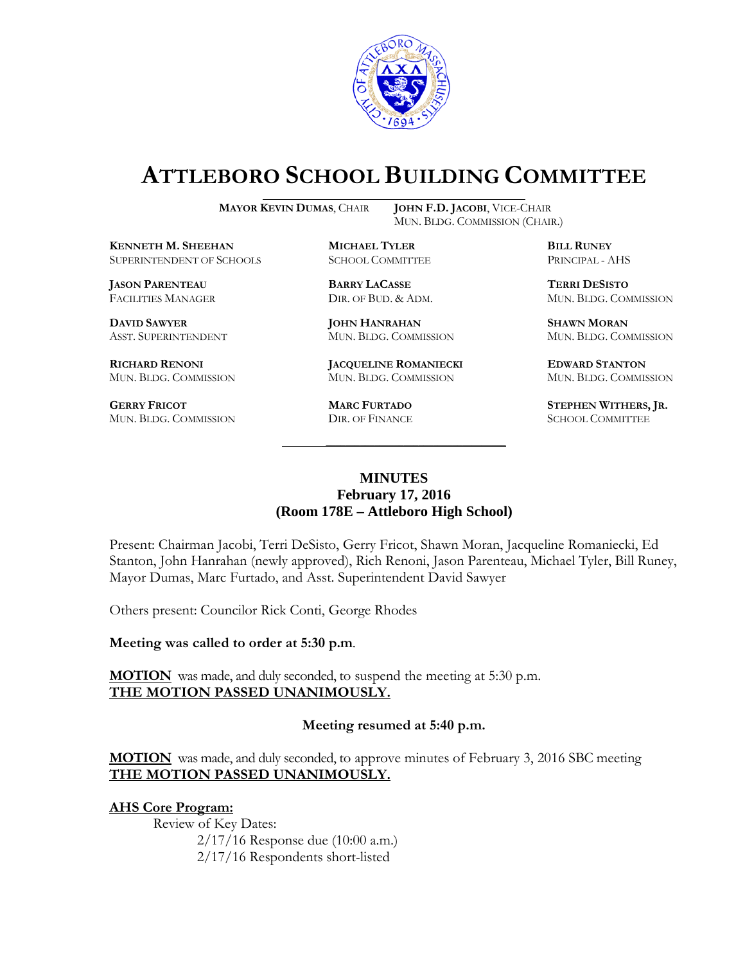

# **ATTLEBORO SCHOOL BUILDING COMMITTEE**

**MAYOR KEVIN DUMAS**, CHAIR **JOHN F.D. JACOBI**, VICE-CHAIR

**KENNETH M. SHEEHAN MICHAEL TYLER BILL RUNEY** SUPERINTENDENT OF SCHOOLS SCHOOL COMMITTEE PRINCIPAL - AHS

**JASON PARENTEAU BARRY LACASSE TERRI DESISTO**

**DAVID SAWYER JOHN HANRAHAN SHAWN MORAN**

**GERRY FRICOT MARC FURTADO STEPHEN WITHERS, JR.** MUN. BLDG. COMMISSION DIR. OF FINANCE SCHOOL COMMITTEE

MUN. BLDG. COMMISSION (CHAIR.)

**RICHARD RENONI JACQUELINE ROMANIECKI EDWARD STANTON** MUN. BLDG. COMMISSION MUN. BLDG. COMMISSION MUN. BLDG. COMMISSION

FACILITIES MANAGER DIR. OF BUD. & ADM. MUN. BLDG. COMMISSION

ASST. SUPERINTENDENT MUN. BLDG. COMMISSION MUN. BLDG. COMMISSION

## **MINUTES February 17, 2016 (Room 178E – Attleboro High School)**

\_\_\_\_\_\_\_\_\_\_\_\_\_\_\_\_\_\_\_\_\_\_\_\_\_\_\_\_\_\_\_\_\_\_\_\_\_

Present: Chairman Jacobi, Terri DeSisto, Gerry Fricot, Shawn Moran, Jacqueline Romaniecki, Ed Stanton, John Hanrahan (newly approved), Rich Renoni, Jason Parenteau, Michael Tyler, Bill Runey, Mayor Dumas, Marc Furtado, and Asst. Superintendent David Sawyer

Others present: Councilor Rick Conti, George Rhodes

**Meeting was called to order at 5:30 p.m**.

**MOTION** was made, and duly seconded, to suspend the meeting at 5:30 p.m. **THE MOTION PASSED UNANIMOUSLY.**

#### **Meeting resumed at 5:40 p.m.**

**MOTION** was made, and duly seconded, to approve minutes of February 3, 2016 SBC meeting **THE MOTION PASSED UNANIMOUSLY.**

#### **AHS Core Program:**

Review of Key Dates: 2/17/16 Response due (10:00 a.m.) 2/17/16 Respondents short-listed